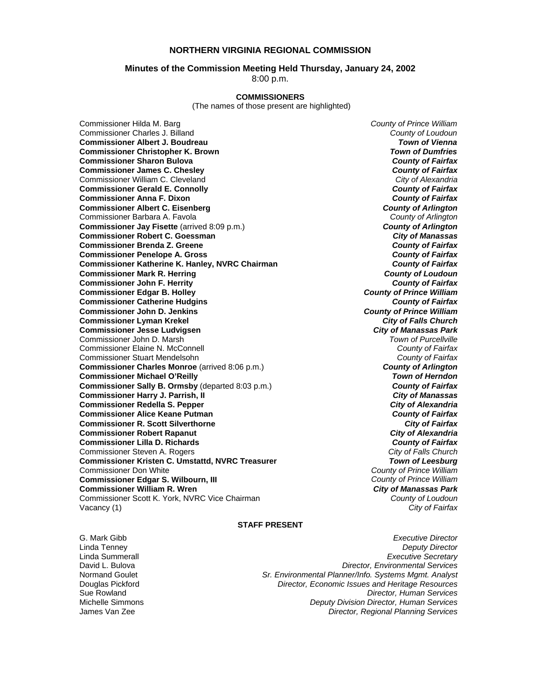#### **NORTHERN VIRGINIA REGIONAL COMMISSION**

#### **Minutes of the Commission Meeting Held Thursday, January 24, 2002**

8:00 p.m.

#### **COMMISSIONERS**

(The names of those present are highlighted)

Commissioner Hilda M. Barg *County of Prince William* Commissioner Charles J. Billand *County of Loudoun* **Commissioner Albert J. Boudreau Commissioner Christopher K. Brown** *Town of Dumfries*  **Commissioner Sharon Bulova** *County of Fairfax* **Commissioner James C. Chesley** *County of Fairfax* **Commissioner William C. Cleveland Commissioner Gerald E. Connolly** *County of Fairfax* **Commissioner Anna F. Dixon Commissioner Albert C. Eisenberg** *County of Arlington* Commissioner Barbara A. Favola *County of Arlington* **Commissioner Jay Fisette** (arrived 8:09 p.m.) *County of Arlington* **Commissioner Robert C. Goessman** *City of Manassas* **Commissioner Brenda Z. Greene** *County of Fairfax* **Commissioner Penelope A. Gross** *County of Fairfax* **Commissioner Katherine K. Hanley, NVRC Chairman** *County of Fairfax***<br>
<b>County of Fairfax**<br> *County of Loudoun* **Commissioner Mark R. Herring Commissioner John F. Herrity** *County of Fairfax* **Commissioner Edgar B. Holley** *County of Prince William* **Commissioner Catherine Hudgins** *County of Fairfax* **Commissioner John D. Jenkins** *County of Prince William* **Commissioner Lyman Krekel** *City of Falls Church* **Commissioner Jesse Ludvigsen** *City of Manassas Park* Commissioner John D. Marsh *Town of Purcellville* Commissioner Elaine N. McConnell *County of Fairfax* Commissioner Stuart Mendelsohn *County of Fairfax* **Commissioner Charles Monroe** (arrived 8:06 p.m.) *County of Arlington* **Commissioner Michael O'Reilly** *Town of Herndon* **Commissioner Sally B. Ormsby** (departed 8:03 p.m.) **Commissioner Harry J. Parrish, II** *City of Manassas* **Commissioner Redella S. Pepper** *City of Alexandria* **Commissioner Alice Keane Putman** *County of Fairfax* **Commissioner R. Scott Silverthorne** *City of Fairfax* **Commissioner Robert Rapanut Commissioner Lilla D. Richards** *County of Fairfax* Commissioner Steven A. Rogers *City of Falls Church* **Commissioner Kristen C. Umstattd, NVRC Treasurer** *Town of Leesburg* Commissioner Don White *County of Prince William* **Commissioner Edgar S. Wilbourn, III** *County of Prince William* **Commissioner William R. Wren** *City of Manassas Park* Commissioner Scott K. York, NVRC Vice Chairman *County of Loudoun* Vacancy (1) *City of Fairfax*

#### **STAFF PRESENT**

G. Mark Gibb *Executive Director* Linda Tenney *Deputy Director* Linda Summerall *Executive Secretary* David L. Bulova *Director, Environmental Services* Normand Goulet *Sr. Environmental Planner/Info. Systems Mgmt. Analyst* Douglas Pickford *Director, Economic Issues and Heritage Resources* Sue Rowland *Director, Human Services* Michelle Simmons *Deputy Division Director, Human Services* Director, Regional Planning Services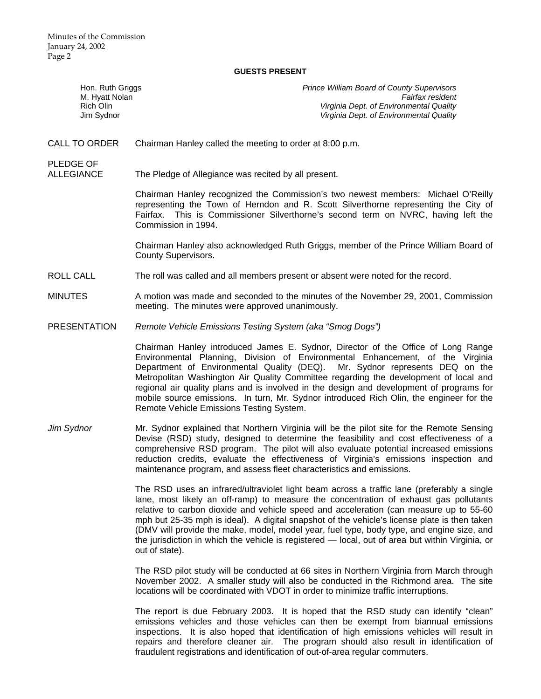#### **GUESTS PRESENT**

| Hon. Ruth Griggs<br>M. Hyatt Nolan<br>Rich Olin<br>Jim Sydnor | Prince William Board of County Supervisors<br>Fairfax resident<br>Virginia Dept. of Environmental Quality<br>Virginia Dept. of Environmental Quality                                                                                                                                                                                                                                                                                                                                                                                                                                             |
|---------------------------------------------------------------|--------------------------------------------------------------------------------------------------------------------------------------------------------------------------------------------------------------------------------------------------------------------------------------------------------------------------------------------------------------------------------------------------------------------------------------------------------------------------------------------------------------------------------------------------------------------------------------------------|
| <b>CALL TO ORDER</b>                                          | Chairman Hanley called the meeting to order at 8:00 p.m.                                                                                                                                                                                                                                                                                                                                                                                                                                                                                                                                         |
| <b>PLEDGE OF</b><br><b>ALLEGIANCE</b>                         | The Pledge of Allegiance was recited by all present.                                                                                                                                                                                                                                                                                                                                                                                                                                                                                                                                             |
|                                                               | Chairman Hanley recognized the Commission's two newest members: Michael O'Reilly<br>representing the Town of Herndon and R. Scott Silverthorne representing the City of<br>Fairfax. This is Commissioner Silverthorne's second term on NVRC, having left the<br>Commission in 1994.                                                                                                                                                                                                                                                                                                              |
|                                                               | Chairman Hanley also acknowledged Ruth Griggs, member of the Prince William Board of<br><b>County Supervisors.</b>                                                                                                                                                                                                                                                                                                                                                                                                                                                                               |
| <b>ROLL CALL</b>                                              | The roll was called and all members present or absent were noted for the record.                                                                                                                                                                                                                                                                                                                                                                                                                                                                                                                 |
| <b>MINUTES</b>                                                | A motion was made and seconded to the minutes of the November 29, 2001, Commission<br>meeting. The minutes were approved unanimously.                                                                                                                                                                                                                                                                                                                                                                                                                                                            |
| <b>PRESENTATION</b>                                           | Remote Vehicle Emissions Testing System (aka "Smog Dogs")                                                                                                                                                                                                                                                                                                                                                                                                                                                                                                                                        |
|                                                               | Chairman Hanley introduced James E. Sydnor, Director of the Office of Long Range<br>Environmental Planning, Division of Environmental Enhancement, of the Virginia<br>Department of Environmental Quality (DEQ).<br>Mr. Sydnor represents DEQ on the<br>Metropolitan Washington Air Quality Committee regarding the development of local and<br>regional air quality plans and is involved in the design and development of programs for<br>mobile source emissions. In turn, Mr. Sydnor introduced Rich Olin, the engineer for the<br>Remote Vehicle Emissions Testing System.                  |
| Jim Sydnor                                                    | Mr. Sydnor explained that Northern Virginia will be the pilot site for the Remote Sensing<br>Devise (RSD) study, designed to determine the feasibility and cost effectiveness of a<br>comprehensive RSD program. The pilot will also evaluate potential increased emissions<br>reduction credits, evaluate the effectiveness of Virginia's emissions inspection and<br>maintenance program, and assess fleet characteristics and emissions.                                                                                                                                                      |
|                                                               | The RSD uses an infrared/ultraviolet light beam across a traffic lane (preferably a single<br>lane, most likely an off-ramp) to measure the concentration of exhaust gas pollutants<br>relative to carbon dioxide and vehicle speed and acceleration (can measure up to 55-60<br>mph but 25-35 mph is ideal). A digital snapshot of the vehicle's license plate is then taken<br>(DMV will provide the make, model, model year, fuel type, body type, and engine size, and<br>the jurisdiction in which the vehicle is registered - local, out of area but within Virginia, or<br>out of state). |
|                                                               | The RSD pilot study will be conducted at 66 sites in Northern Virginia from March through<br>November 2002. A smaller study will also be conducted in the Richmond area. The site<br>locations will be coordinated with VDOT in order to minimize traffic interruptions.                                                                                                                                                                                                                                                                                                                         |
|                                                               | The report is due February 2003. It is hoped that the RSD study can identify "clean"                                                                                                                                                                                                                                                                                                                                                                                                                                                                                                             |

 The report is due February 2003. It is hoped that the RSD study can identify "clean" emissions vehicles and those vehicles can then be exempt from biannual emissions inspections. It is also hoped that identification of high emissions vehicles will result in repairs and therefore cleaner air. The program should also result in identification of fraudulent registrations and identification of out-of-area regular commuters.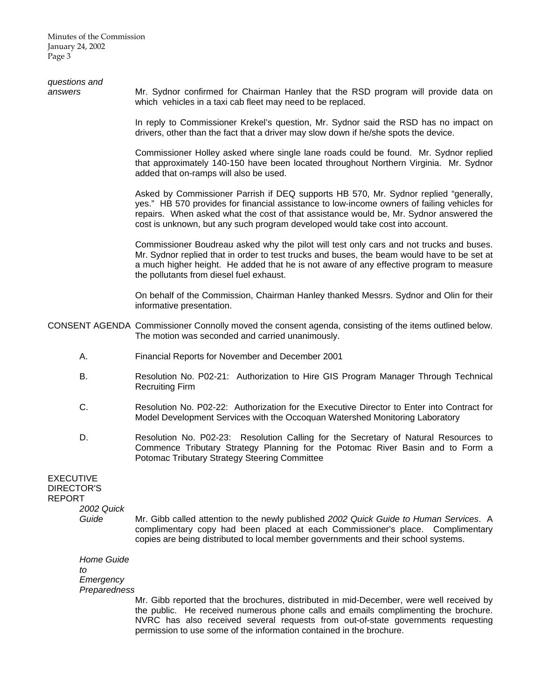Minutes of the Commission January 24, 2002 Page 3

| questions and<br>answers                                                      | Mr. Sydnor confirmed for Chairman Hanley that the RSD program will provide data on<br>which vehicles in a taxi cab fleet may need to be replaced.                                                                                                                                                                                                              |
|-------------------------------------------------------------------------------|----------------------------------------------------------------------------------------------------------------------------------------------------------------------------------------------------------------------------------------------------------------------------------------------------------------------------------------------------------------|
|                                                                               | In reply to Commissioner Krekel's question, Mr. Sydnor said the RSD has no impact on<br>drivers, other than the fact that a driver may slow down if he/she spots the device.                                                                                                                                                                                   |
|                                                                               | Commissioner Holley asked where single lane roads could be found. Mr. Sydnor replied<br>that approximately 140-150 have been located throughout Northern Virginia. Mr. Sydnor<br>added that on-ramps will also be used.                                                                                                                                        |
|                                                                               | Asked by Commissioner Parrish if DEQ supports HB 570, Mr. Sydnor replied "generally,<br>yes." HB 570 provides for financial assistance to low-income owners of failing vehicles for<br>repairs. When asked what the cost of that assistance would be, Mr. Sydnor answered the<br>cost is unknown, but any such program developed would take cost into account. |
|                                                                               | Commissioner Boudreau asked why the pilot will test only cars and not trucks and buses.<br>Mr. Sydnor replied that in order to test trucks and buses, the beam would have to be set at<br>a much higher height. He added that he is not aware of any effective program to measure<br>the pollutants from diesel fuel exhaust.                                  |
|                                                                               | On behalf of the Commission, Chairman Hanley thanked Messrs. Sydnor and Olin for their<br>informative presentation.                                                                                                                                                                                                                                            |
|                                                                               | CONSENT AGENDA Commissioner Connolly moved the consent agenda, consisting of the items outlined below.<br>The motion was seconded and carried unanimously.                                                                                                                                                                                                     |
| Α.                                                                            | Financial Reports for November and December 2001                                                                                                                                                                                                                                                                                                               |
| В.                                                                            | Resolution No. P02-21: Authorization to Hire GIS Program Manager Through Technical<br><b>Recruiting Firm</b>                                                                                                                                                                                                                                                   |
| C.                                                                            | Resolution No. P02-22: Authorization for the Executive Director to Enter into Contract for<br>Model Development Services with the Occoquan Watershed Monitoring Laboratory                                                                                                                                                                                     |
| D.                                                                            | Resolution No. P02-23: Resolution Calling for the Secretary of Natural Resources to<br>Commence Tributary Strategy Planning for the Potomac River Basin and to Form a<br>Potomac Tributary Strategy Steering Committee                                                                                                                                         |
| <b>EXECUTIVE</b><br><b>DIRECTOR'S</b><br><b>REPORT</b><br>2002 Quick<br>Guide | Mr. Gibb called attention to the newly published 2002 Quick Guide to Human Services. A<br>complimentary copy had been placed at each Commissioner's place. Complimentary<br>copies are being distributed to local member governments and their school systems.                                                                                                 |
| <b>Home Guide</b><br>to<br>Emergency<br>Preparedness                          |                                                                                                                                                                                                                                                                                                                                                                |
|                                                                               | Mr. Gibb reported that the brochures, distributed in mid-December, were well received by<br>the public. He received numerous phone calls and emails complimenting the brochure.<br>NVRC has also received several requests from out-of-state governments requesting<br>permission to use some of the information contained in the brochure.                    |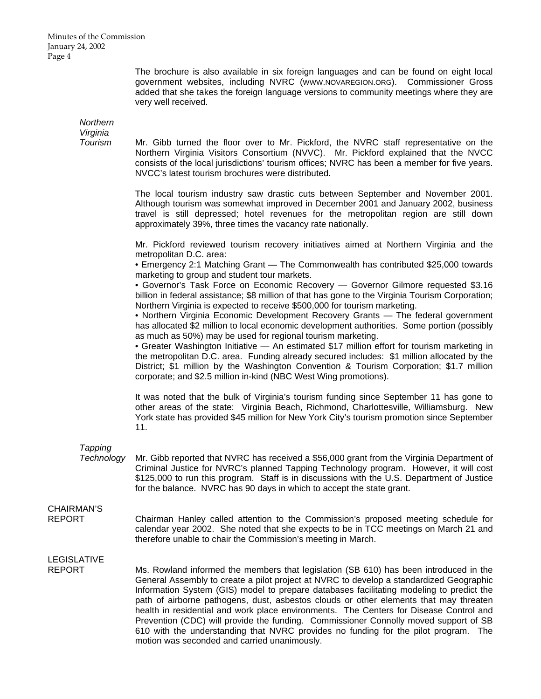The brochure is also available in six foreign languages and can be found on eight local government websites, including NVRC (WWW.NOVAREGION.ORG). Commissioner Gross added that she takes the foreign language versions to community meetings where they are very well received.

*Northern Virginia* 

 *Tourism* Mr. Gibb turned the floor over to Mr. Pickford, the NVRC staff representative on the Northern Virginia Visitors Consortium (NVVC). Mr. Pickford explained that the NVCC consists of the local jurisdictions' tourism offices; NVRC has been a member for five years. NVCC's latest tourism brochures were distributed.

> The local tourism industry saw drastic cuts between September and November 2001. Although tourism was somewhat improved in December 2001 and January 2002, business travel is still depressed; hotel revenues for the metropolitan region are still down approximately 39%, three times the vacancy rate nationally.

> Mr. Pickford reviewed tourism recovery initiatives aimed at Northern Virginia and the metropolitan D.C. area:

> • Emergency 2:1 Matching Grant — The Commonwealth has contributed \$25,000 towards marketing to group and student tour markets.

> • Governor's Task Force on Economic Recovery — Governor Gilmore requested \$3.16 billion in federal assistance; \$8 million of that has gone to the Virginia Tourism Corporation; Northern Virginia is expected to receive \$500,000 for tourism marketing.

> • Northern Virginia Economic Development Recovery Grants — The federal government has allocated \$2 million to local economic development authorities. Some portion (possibly as much as 50%) may be used for regional tourism marketing.

> • Greater Washington Initiative — An estimated \$17 million effort for tourism marketing in the metropolitan D.C. area. Funding already secured includes: \$1 million allocated by the District; \$1 million by the Washington Convention & Tourism Corporation; \$1.7 million corporate; and \$2.5 million in-kind (NBC West Wing promotions).

> It was noted that the bulk of Virginia's tourism funding since September 11 has gone to other areas of the state: Virginia Beach, Richmond, Charlottesville, Williamsburg. New York state has provided \$45 million for New York City's tourism promotion since September 11.

### *Tapping*

 *Technology* Mr. Gibb reported that NVRC has received a \$56,000 grant from the Virginia Department of Criminal Justice for NVRC's planned Tapping Technology program. However, it will cost \$125,000 to run this program. Staff is in discussions with the U.S. Department of Justice for the balance. NVRC has 90 days in which to accept the state grant.

## CHAIRMAN'S

REPORT Chairman Hanley called attention to the Commission's proposed meeting schedule for calendar year 2002. She noted that she expects to be in TCC meetings on March 21 and therefore unable to chair the Commission's meeting in March.

# LEGISLATIVE

REPORT Ms. Rowland informed the members that legislation (SB 610) has been introduced in the General Assembly to create a pilot project at NVRC to develop a standardized Geographic Information System (GIS) model to prepare databases facilitating modeling to predict the path of airborne pathogens, dust, asbestos clouds or other elements that may threaten health in residential and work place environments. The Centers for Disease Control and Prevention (CDC) will provide the funding. Commissioner Connolly moved support of SB 610 with the understanding that NVRC provides no funding for the pilot program. The motion was seconded and carried unanimously.